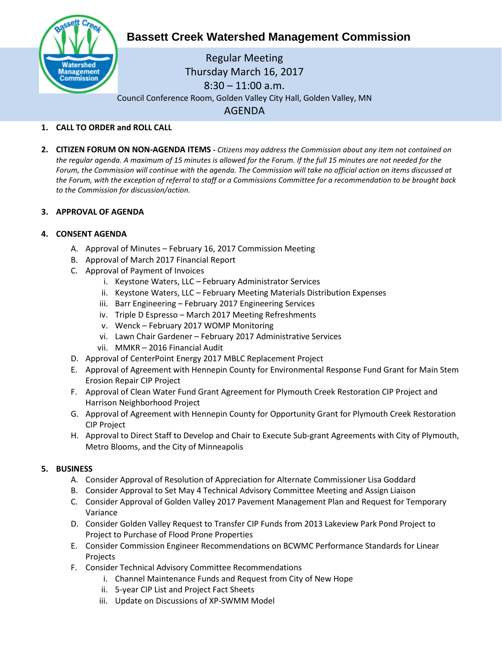

# **Bassett Creek Watershed Management Commission**

Regular Meeting Thursday March 16, 2017 8:30 – 11:00 a.m. Council Conference Room, Golden Valley City Hall, Golden Valley, MN AGENDA

### **1. CALL TO ORDER and ROLL CALL**

**2. CITIZEN FORUM ON NON-AGENDA ITEMS -** *Citizens may address the Commission about any item not contained on the regular agenda. A maximum of 15 minutes is allowed for the Forum. If the full 15 minutes are not needed for the Forum, the Commission will continue with the agenda. The Commission will take no official action on items discussed at the Forum, with the exception of referral to staff or a Commissions Committee for a recommendation to be brought back to the Commission for discussion/action.*

### **3. APPROVAL OF AGENDA**

#### **4. CONSENT AGENDA**

- A. Approval of Minutes February 16, 2017 Commission Meeting
- B. Approval of March 2017 Financial Report
- C. Approval of Payment of Invoices
	- i. Keystone Waters, LLC February Administrator Services
	- ii. Keystone Waters, LLC February Meeting Materials Distribution Expenses
	- iii. Barr Engineering February 2017 Engineering Services
	- iv. Triple D Espresso March 2017 Meeting Refreshments
	- v. Wenck February 2017 WOMP Monitoring
	- vi. Lawn Chair Gardener February 2017 Administrative Services
	- vii. MMKR 2016 Financial Audit
- D. Approval of CenterPoint Energy 2017 MBLC Replacement Project
- E. Approval of Agreement with Hennepin County for Environmental Response Fund Grant for Main Stem Erosion Repair CIP Project
- F. Approval of Clean Water Fund Grant Agreement for Plymouth Creek Restoration CIP Project and Harrison Neighborhood Project
- G. Approval of Agreement with Hennepin County for Opportunity Grant for Plymouth Creek Restoration CIP Project
- H. Approval to Direct Staff to Develop and Chair to Execute Sub-grant Agreements with City of Plymouth, Metro Blooms, and the City of Minneapolis

### **5. BUSINESS**

- A. Consider Approval of Resolution of Appreciation for Alternate Commissioner Lisa Goddard
- B. Consider Approval to Set May 4 Technical Advisory Committee Meeting and Assign Liaison
- C. Consider Approval of Golden Valley 2017 Pavement Management Plan and Request for Temporary Variance
- D. Consider Golden Valley Request to Transfer CIP Funds from 2013 Lakeview Park Pond Project to Project to Purchase of Flood Prone Properties
- E. Consider Commission Engineer Recommendations on BCWMC Performance Standards for Linear Projects
- F. Consider Technical Advisory Committee Recommendations
	- i. Channel Maintenance Funds and Request from City of New Hope
	- ii. 5-year CIP List and Project Fact Sheets
	- iii. Update on Discussions of XP-SWMM Model